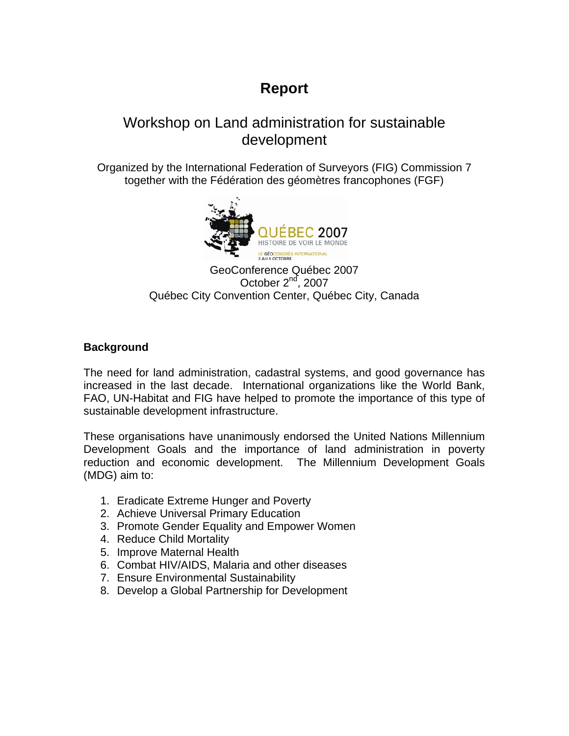### **Report**

### Workshop on Land administration for sustainable development

Organized by the International Federation of Surveyors (FIG) Commission 7 together with the Fédération des géomètres francophones (FGF)



GeoConference Québec 2007 October 2<sup>nd</sup>, 2007 Québec City Convention Center, Québec City, Canada

#### **Background**

The need for land administration, cadastral systems, and good governance has increased in the last decade. International organizations like the World Bank, FAO, UN-Habitat and FIG have helped to promote the importance of this type of sustainable development infrastructure.

These organisations have unanimously endorsed the United Nations Millennium Development Goals and the importance of land administration in poverty reduction and economic development. The Millennium Development Goals (MDG) aim to:

- 1. [Eradicate Extreme Hunger and Poverty](http://www.unmillenniumproject.org/goals/gti.htm#goal1)
- 2. [Achieve Universal Primary Education](http://www.unmillenniumproject.org/goals/gti.htm#goal2)
- 3. [Promote Gender Equality and Empower Women](http://www.unmillenniumproject.org/goals/gti.htm#goal3)
- 4. [Reduce Child Mortality](http://www.unmillenniumproject.org/goals/gti.htm#goal4)
- 5. [Improve Maternal Health](http://www.unmillenniumproject.org/goals/gti.htm#goal5)
- 6. [Combat HIV/AIDS, Malaria and other diseases](http://www.unmillenniumproject.org/goals/gti.htm#goal6)
- 7. [Ensure Environmental Sustainability](http://www.unmillenniumproject.org/goals/gti.htm#goal7)
- 8. [Develop a Global Partnership for Development](http://www.unmillenniumproject.org/goals/gti.htm#goal8)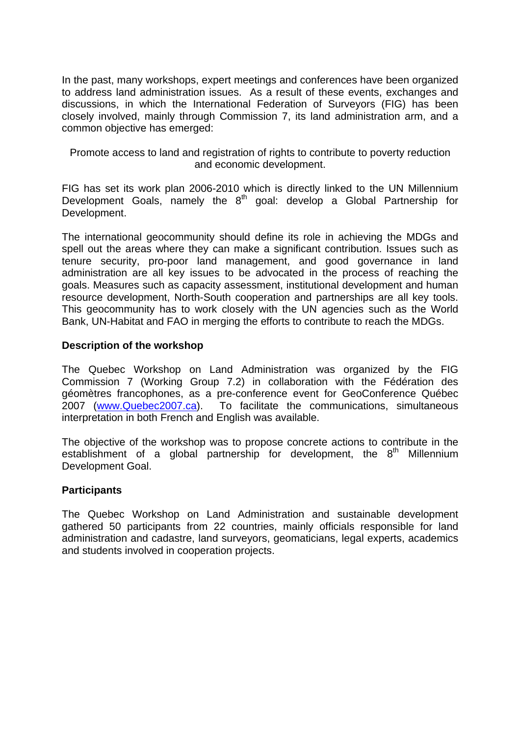In the past, many workshops, expert meetings and conferences have been organized to address land administration issues. As a result of these events, exchanges and discussions, in which the International Federation of Surveyors (FIG) has been closely involved, mainly through Commission 7, its land administration arm, and a common objective has emerged:

Promote access to land and registration of rights to contribute to poverty reduction and economic development.

FIG has set its work plan 2006-2010 which is directly linked to the UN Millennium Development Goals, namely the  $8<sup>th</sup>$  goal: develop a Global Partnership for [Development.](http://www.unmillenniumproject.org/goals/gti.htm#goal8)

The international geocommunity should define its role in achieving the MDGs and spell out the areas where they can make a significant contribution. Issues such as tenure security, pro-poor land management, and good governance in land administration are all key issues to be advocated in the process of reaching the goals. Measures such as capacity assessment, institutional development and human resource development, North-South cooperation and partnerships are all key tools. This geocommunity has to work closely with the UN agencies such as the World Bank, UN-Habitat and FAO in merging the efforts to contribute to reach the MDGs.

#### **Description of the workshop**

The Quebec Workshop on Land Administration was organized by the FIG Commission 7 (Working Group 7.2) in collaboration with the Fédération des géomètres francophones, as a pre-conference event for GeoConference Québec 2007 (www.Quebec2007.ca). To facilitate the communications, simultaneous interpretation in both French and English was available.

The objective of the workshop was to propose concrete actions to contribute in the establishment of a global partnership for development, the  $8<sup>th</sup>$  Millennium Development Goal.

#### **Participants**

The Quebec Workshop on Land Administration and sustainable development gathered 50 participants from 22 countries, mainly officials responsible for land administration and cadastre, land surveyors, geomaticians, legal experts, academics and students involved in cooperation projects.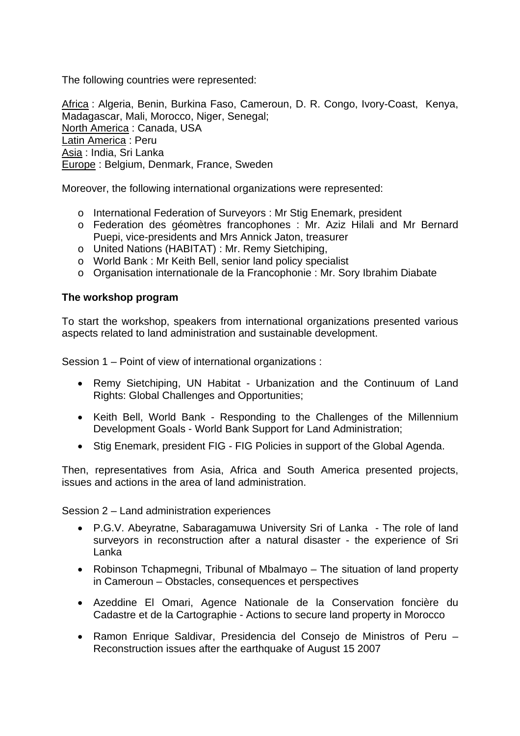The following countries were represented:

Africa : Algeria, Benin, Burkina Faso, Cameroun, D. R. Congo, Ivory-Coast, Kenya, Madagascar, Mali, Morocco, Niger, Senegal; North America : Canada, USA Latin America : Peru Asia : India, Sri Lanka Europe : Belgium, Denmark, France, Sweden

Moreover, the following international organizations were represented:

- o International Federation of Surveyors : Mr Stig Enemark, president
- o Federation des géomètres francophones : Mr. Aziz Hilali and Mr Bernard Puepi, vice-presidents and Mrs Annick Jaton, treasurer
- o United Nations (HABITAT) : Mr. Remy Sietchiping,
- o World Bank : Mr Keith Bell, senior land policy specialist
- o Organisation internationale de la Francophonie : Mr. Sory Ibrahim Diabate

#### **The workshop program**

To start the workshop, speakers from international organizations presented various aspects related to land administration and sustainable development.

Session 1 – Point of view of international organizations :

- Remy Sietchiping, UN Habitat Urbanization and the Continuum of Land Rights: Global Challenges and Opportunities;
- Keith Bell, World Bank Responding to the Challenges of the Millennium Development Goals - World Bank Support for Land Administration;
- Stig Enemark, president FIG FIG Policies in support of the Global Agenda.

Then, representatives from Asia, Africa and South America presented projects, issues and actions in the area of land administration.

Session 2 – Land administration experiences

- P.G.V. Abeyratne, Sabaragamuwa University Sri of Lanka The role of land surveyors in reconstruction after a natural disaster - the experience of Sri Lanka
- Robinson Tchapmegni, Tribunal of Mbalmayo The situation of land property in Cameroun – Obstacles, consequences et perspectives
- Azeddine El Omari, Agence Nationale de la Conservation foncière du Cadastre et de la Cartographie - Actions to secure land property in Morocco
- Ramon Enrique Saldivar, Presidencia del Consejo de Ministros of Peru Reconstruction issues after the earthquake of August 15 2007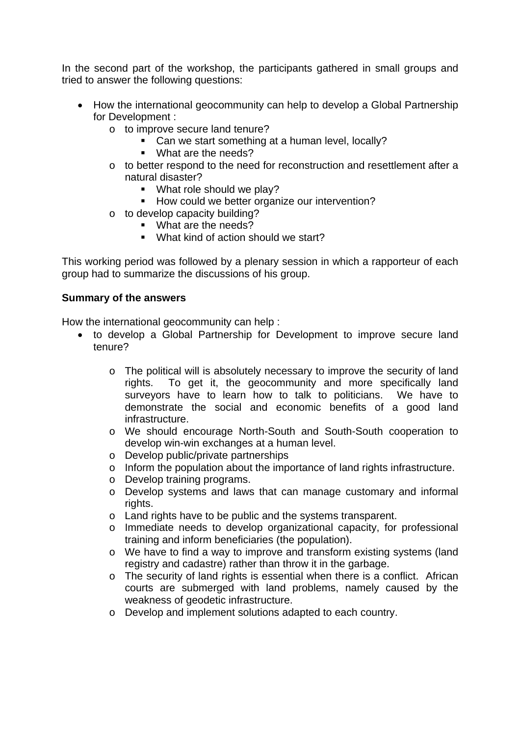In the second part of the workshop, the participants gathered in small groups and tried to answer the following questions:

- How the international geocommunity can help to develop a Global Partnership [for Development](http://www.unmillenniumproject.org/goals/gti.htm#goal8) :
	- o to improve secure land tenure?
		- Can we start something at a human level, locally?
		- What are the needs?
	- o to better respond to the need for reconstruction and resettlement after a natural disaster?
		- What role should we play?
		- How could we better organize our intervention?
	- o to develop capacity building?
		- What are the needs?
		- What kind of action should we start?

This working period was followed by a plenary session in which a rapporteur of each group had to summarize the discussions of his group.

#### **Summary of the answers**

How the international geocommunity can help :

- to [develop a Global Partnership for Development](http://www.unmillenniumproject.org/goals/gti.htm#goal8) to improve secure land tenure?
	- o The political will is absolutely necessary to improve the security of land rights. To get it, the geocommunity and more specifically land surveyors have to learn how to talk to politicians. We have to demonstrate the social and economic benefits of a good land infrastructure.
	- o We should encourage North-South and South-South cooperation to develop win-win exchanges at a human level.
	- o Develop public/private partnerships
	- o Inform the population about the importance of land rights infrastructure.
	- o Develop training programs.
	- o Develop systems and laws that can manage customary and informal rights.
	- o Land rights have to be public and the systems transparent.
	- o Immediate needs to develop organizational capacity, for professional training and inform beneficiaries (the population).
	- o We have to find a way to improve and transform existing systems (land registry and cadastre) rather than throw it in the garbage.
	- o The security of land rights is essential when there is a conflict. African courts are submerged with land problems, namely caused by the weakness of geodetic infrastructure.
	- o Develop and implement solutions adapted to each country.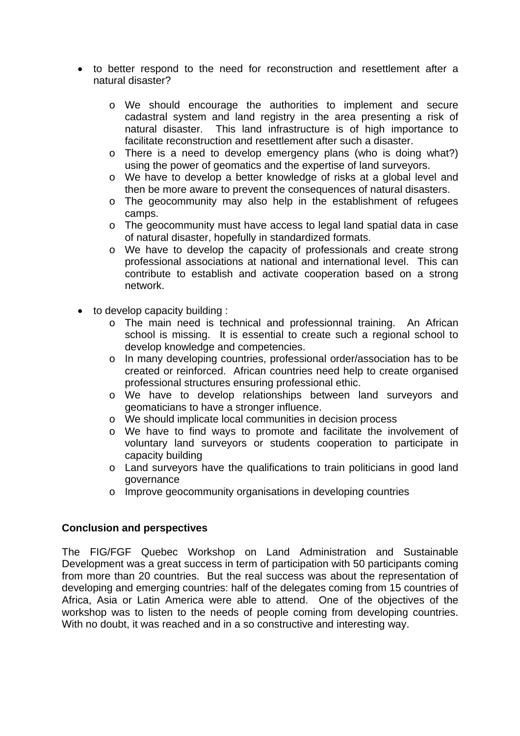- to better respond to the need for reconstruction and resettlement after a natural disaster?
	- o We should encourage the authorities to implement and secure cadastral system and land registry in the area presenting a risk of natural disaster. This land infrastructure is of high importance to facilitate reconstruction and resettlement after such a disaster.
	- o There is a need to develop emergency plans (who is doing what?) using the power of geomatics and the expertise of land surveyors.
	- o We have to develop a better knowledge of risks at a global level and then be more aware to prevent the consequences of natural disasters.
	- o The geocommunity may also help in the establishment of refugees camps.
	- o The geocommunity must have access to legal land spatial data in case of natural disaster, hopefully in standardized formats.
	- o We have to develop the capacity of professionals and create strong professional associations at national and international level. This can contribute to establish and activate cooperation based on a strong network.
- to develop capacity building :
	- o The main need is technical and professionnal training. An African school is missing. It is essential to create such a regional school to develop knowledge and competencies.
	- o In many developing countries, professional order/association has to be created or reinforced. African countries need help to create organised professional structures ensuring professional ethic.
	- o We have to develop relationships between land surveyors and geomaticians to have a stronger influence.
	- o We should implicate local communities in decision process
	- o We have to find ways to promote and facilitate the involvement of voluntary land surveyors or students cooperation to participate in capacity building
	- o Land surveyors have the qualifications to train politicians in good land governance
	- o Improve geocommunity organisations in developing countries

#### **Conclusion and perspectives**

The FIG/FGF Quebec Workshop on Land Administration and Sustainable Development was a great success in term of participation with 50 participants coming from more than 20 countries. But the real success was about the representation of developing and emerging countries: half of the delegates coming from 15 countries of Africa, Asia or Latin America were able to attend. One of the objectives of the workshop was to listen to the needs of people coming from developing countries. With no doubt, it was reached and in a so constructive and interesting way.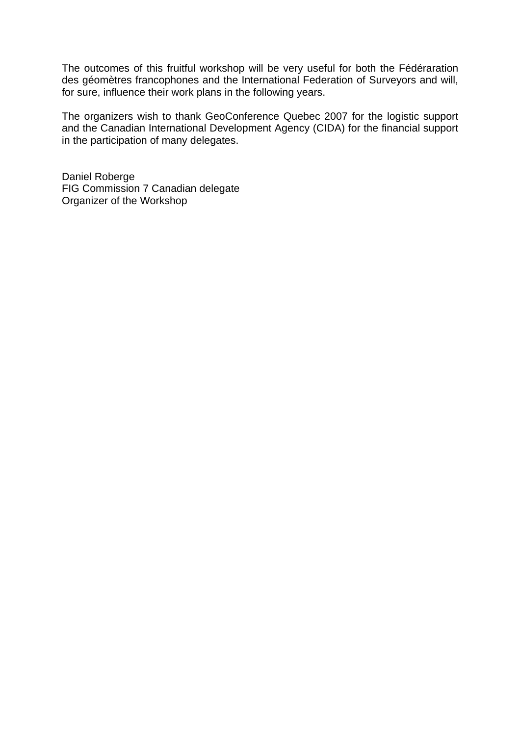The outcomes of this fruitful workshop will be very useful for both the Fédéraration des géomètres francophones and the International Federation of Surveyors and will, for sure, influence their work plans in the following years.

The organizers wish to thank GeoConference Quebec 2007 for the logistic support and the Canadian International Development Agency (CIDA) for the financial support in the participation of many delegates.

Daniel Roberge FIG Commission 7 Canadian delegate Organizer of the Workshop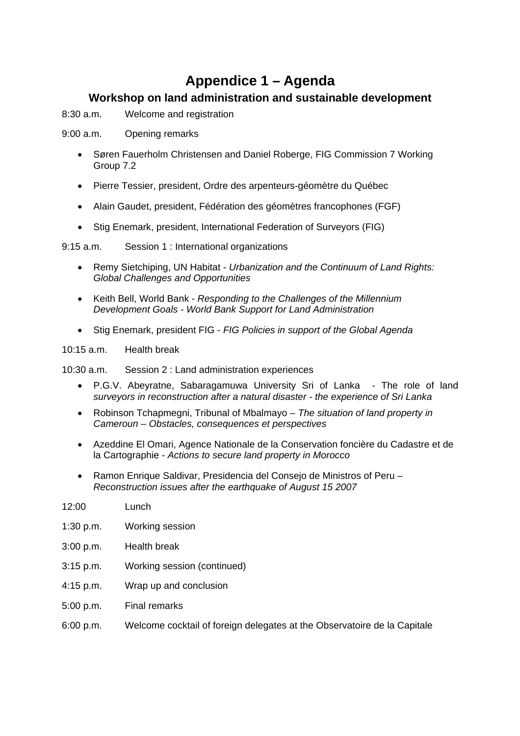### **Appendice 1 – Agenda**

#### **Workshop on land administration and sustainable development**

- 8:30 a.m. Welcome and registration
- 9:00 a.m. Opening remarks
	- Søren Fauerholm Christensen and Daniel Roberge, FIG Commission 7 Working Group 7.2
	- Pierre Tessier, president, Ordre des arpenteurs-géomètre du Québec
	- Alain Gaudet, president, Fédération des géomètres francophones (FGF)
	- Stig Enemark, president, International Federation of Surveyors (FIG)

9:15 a.m. Session 1 : International organizations

- Remy Sietchiping, UN Habitat *Urbanization and the Continuum of Land Rights: Global Challenges and Opportunities*
- Keith Bell, World Bank *Responding to the Challenges of the Millennium Development Goals - World Bank Support for Land Administration*
- Stig Enemark, president FIG *FIG Policies in support of the Global Agenda*

10:15 a.m. Health break

10:30 a.m. Session 2 : Land administration experiences

- P.G.V. Abeyratne, Sabaragamuwa University Sri of Lanka The role of land *surveyors in reconstruction after a natural disaster - the experience of Sri Lanka*
- Robinson Tchapmegni, Tribunal of Mbalmayo *The situation of land property in Cameroun – Obstacles, consequences et perspectives*
- Azeddine El Omari, Agence Nationale de la Conservation foncière du Cadastre et de la Cartographie - *Actions to secure land property in Morocco*
- Ramon Enrique Saldivar, Presidencia del Consejo de Ministros of Peru *Reconstruction issues after the earthquake of August 15 2007*

| 12:00       | Lunch                                                                    |
|-------------|--------------------------------------------------------------------------|
| 1:30 p.m.   | Working session                                                          |
| 3:00 p.m.   | <b>Health break</b>                                                      |
| $3:15$ p.m. | Working session (continued)                                              |
| $4:15$ p.m. | Wrap up and conclusion                                                   |
| 5:00 p.m.   | <b>Final remarks</b>                                                     |
| 6:00 p.m.   | Welcome cocktail of foreign delegates at the Observatoire de la Capitale |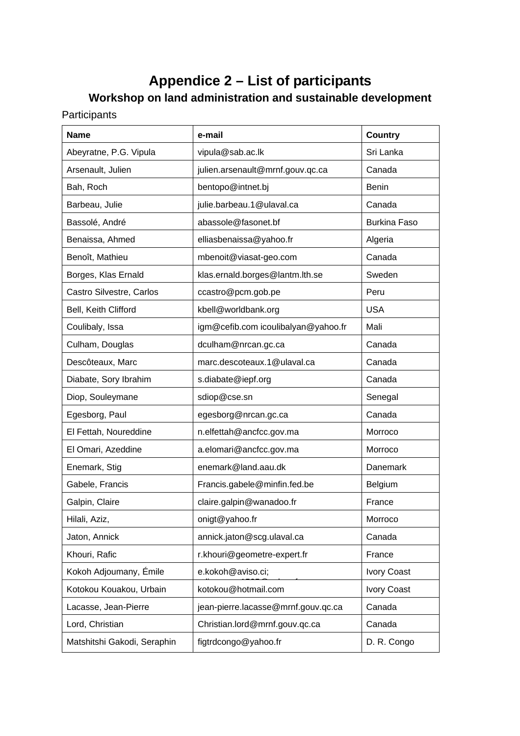# **Appendice 2 – List of participants**

## **Workshop on land administration and sustainable development**

Participants

| <b>Name</b>                 | e-mail                              | <b>Country</b>      |
|-----------------------------|-------------------------------------|---------------------|
| Abeyratne, P.G. Vipula      | vipula@sab.ac.lk                    | Sri Lanka           |
| Arsenault, Julien           | julien.arsenault@mrnf.gouv.qc.ca    | Canada              |
| Bah, Roch                   | bentopo@intnet.bj                   | <b>Benin</b>        |
| Barbeau, Julie              | julie.barbeau.1@ulaval.ca           | Canada              |
| Bassolé, André              | abassole@fasonet.bf                 | <b>Burkina Faso</b> |
| Benaissa, Ahmed             | elliasbenaissa@yahoo.fr             | Algeria             |
| Benoît, Mathieu             | mbenoit@viasat-geo.com              | Canada              |
| Borges, Klas Ernald         | klas.ernald.borges@lantm.lth.se     | Sweden              |
| Castro Silvestre, Carlos    | ccastro@pcm.gob.pe                  | Peru                |
| Bell, Keith Clifford        | kbell@worldbank.org                 | <b>USA</b>          |
| Coulibaly, Issa             | igm@cefib.com icoulibalyan@yahoo.fr | Mali                |
| Culham, Douglas             | dculham@nrcan.gc.ca                 | Canada              |
| Descôteaux, Marc            | marc.descoteaux.1@ulaval.ca         | Canada              |
| Diabate, Sory Ibrahim       | s.diabate@iepf.org                  | Canada              |
| Diop, Souleymane            | sdiop@cse.sn                        | Senegal             |
| Egesborg, Paul              | egesborg@nrcan.gc.ca                | Canada              |
| El Fettah, Noureddine       | n.elfettah@ancfcc.gov.ma            | Morroco             |
| El Omari, Azeddine          | a.elomari@ancfcc.gov.ma             | Morroco             |
| Enemark, Stig               | enemark@land.aau.dk                 | Danemark            |
| Gabele, Francis             | Francis.gabele@minfin.fed.be        | Belgium             |
| Galpin, Claire              | claire.galpin@wanadoo.fr            | France              |
| Hilali, Aziz,               | onigt@yahoo.fr                      | Morroco             |
| Jaton, Annick               | annick.jaton@scg.ulaval.ca          | Canada              |
| Khouri, Rafic               | r.khouri@geometre-expert.fr         | France              |
| Kokoh Adjoumany, Émile      | e.kokoh@aviso.ci;                   | <b>Ivory Coast</b>  |
| Kotokou Kouakou, Urbain     | kotokou@hotmail.com                 | Ivory Coast         |
| Lacasse, Jean-Pierre        | jean-pierre.lacasse@mrnf.gouv.qc.ca | Canada              |
| Lord, Christian             | Christian.lord@mrnf.gouv.qc.ca      | Canada              |
| Matshitshi Gakodi, Seraphin | figtrdcongo@yahoo.fr                | D. R. Congo         |